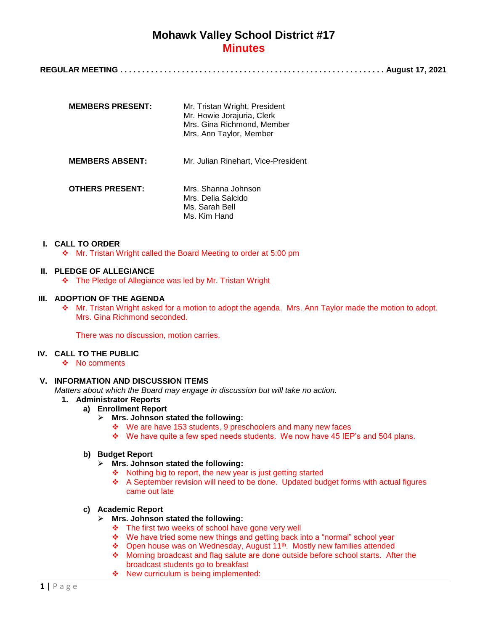| <b>MEMBERS PRESENT:</b> | Mr. Tristan Wright, President<br>Mr. Howie Jorajuria, Clerk<br>Mrs. Gina Richmond, Member<br>Mrs. Ann Taylor, Member |
|-------------------------|----------------------------------------------------------------------------------------------------------------------|
| <b>MEMBERS ABSENT:</b>  | Mr. Julian Rinehart, Vice-President                                                                                  |
| <b>OTHERS PRESENT:</b>  | Mrs. Shanna Johnson<br>Mrs. Delia Salcido<br>Ms. Sarah Bell<br>Ms. Kim Hand                                          |

#### **I. CALL TO ORDER**

Mr. Tristan Wright called the Board Meeting to order at 5:00 pm

### **II. PLEDGE OF ALLEGIANCE**

The Pledge of Allegiance was led by Mr. Tristan Wright

### **III. ADOPTION OF THE AGENDA**

 Mr. Tristan Wright asked for a motion to adopt the agenda. Mrs. Ann Taylor made the motion to adopt. Mrs. Gina Richmond seconded.

There was no discussion, motion carries.

#### **IV. CALL TO THE PUBLIC**

 $\div$  No comments

## **V. INFORMATION AND DISCUSSION ITEMS**

*Matters about which the Board may engage in discussion but will take no action.*

- **1. Administrator Reports**
	- **a) Enrollment Report**
		- **Mrs. Johnson stated the following:**
			- We are have 153 students, 9 preschoolers and many new faces
			- $\div$  We have quite a few sped needs students. We now have 45 IEP's and 504 plans.

#### **b) Budget Report**

- **Mrs. Johnson stated the following:**
	- $\div$  Nothing big to report, the new year is just getting started
	- A September revision will need to be done. Updated budget forms with actual figures came out late

#### **c) Academic Report**

- **Mrs. Johnson stated the following:**
	- The first two weeks of school have gone very well
	- We have tried some new things and getting back into a "normal" school year
	- ❖ Open house was on Wednesday, August 11<sup>th</sup>. Mostly new families attended
	- Morning broadcast and flag salute are done outside before school starts. After the broadcast students go to breakfast
	- ❖ New curriculum is being implemented: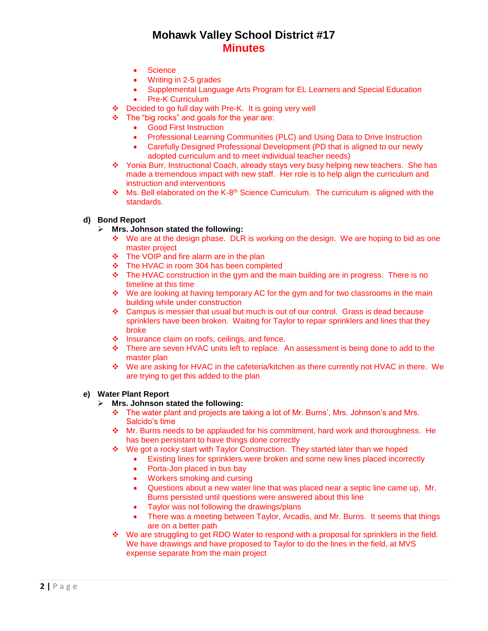- Science
- Writing in 2-5 grades
- Supplemental Language Arts Program for EL Learners and Special Education
- Pre-K Curriculum
- ❖ Decided to go full day with Pre-K. It is going very well
- The "big rocks" and goals for the year are:
	- Good First Instruction
	- Professional Learning Communities (PLC) and Using Data to Drive Instruction
	- Carefully Designed Professional Development (PD that is aligned to our newly adopted curriculum and to meet individual teacher needs)
- Yonia Burr, Instructional Coach, already stays very busy helping new teachers. She has made a tremendous impact with new staff. Her role is to help align the curriculum and instruction and interventions
- $\div$  Ms. Bell elaborated on the K-8<sup>th</sup> Science Curriculum. The curriculum is aligned with the standards.

### **d) Bond Report**

- **Mrs. Johnson stated the following:**
	- $\div$  We are at the design phase. DLR is working on the design. We are hoping to bid as one master project
	- $\cdot \cdot$  The VOIP and fire alarm are in the plan
	- The HVAC in room 304 has been completed
	- $\div$  The HVAC construction in the gym and the main building are in progress. There is no timeline at this time
	- \* We are looking at having temporary AC for the gym and for two classrooms in the main building while under construction
	- $\div$  Campus is messier that usual but much is out of our control. Grass is dead because sprinklers have been broken. Waiting for Taylor to repair sprinklers and lines that they broke
	- $\div$  Insurance claim on roofs, ceilings, and fence.
	- \* There are seven HVAC units left to replace. An assessment is being done to add to the master plan
	- We are asking for HVAC in the cafeteria/kitchen as there currently not HVAC in there. We are trying to get this added to the plan

### **e) Water Plant Report**

- **Mrs. Johnson stated the following:**
	- $\div$  The water plant and projects are taking a lot of Mr. Burns', Mrs. Johnson's and Mrs. Salcido's time
	- $\div$  Mr. Burns needs to be applauded for his commitment, hard work and thoroughness. He has been persistant to have things done correctly
	- We got a rocky start with Taylor Construction. They started later than we hoped
		- Existing lines for sprinklers were broken and some new lines placed incorrectly
			- Porta-Jon placed in bus bay
			- Workers smoking and cursing
			- Questions about a new water line that was placed near a septic line came up. Mr. Burns persisted until questions were answered about this line
			- Taylor was not following the drawings/plans
		- There was a meeting between Taylor, Arcadis, and Mr. Burns. It seems that things are on a better path
	- We are struggling to get RDO Water to respond with a proposal for sprinklers in the field. We have drawings and have proposed to Taylor to do the lines in the field, at MVS expense separate from the main project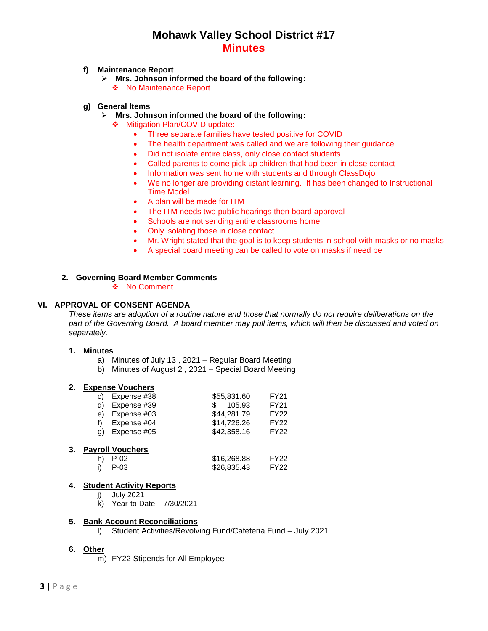### **f) Maintenance Report**

- **Mrs. Johnson informed the board of the following:** ◆ No Maintenance Report
- **g) General Items**
	- **Mrs. Johnson informed the board of the following:**
		- ❖ Mitigation Plan/COVID update:
			- Three separate families have tested positive for COVID
			- The health department was called and we are following their guidance
			- Did not isolate entire class, only close contact students
			- Called parents to come pick up children that had been in close contact
			- Information was sent home with students and through ClassDojo
			- We no longer are providing distant learning. It has been changed to Instructional Time Model
			- A plan will be made for ITM
			- The ITM needs two public hearings then board approval
			- Schools are not sending entire classrooms home
			- Only isolating those in close contact
			- Mr. Wright stated that the goal is to keep students in school with masks or no masks
			- A special board meeting can be called to vote on masks if need be

### **2. Governing Board Member Comments**

❖ No Comment

## **VI. APPROVAL OF CONSENT AGENDA**

*These items are adoption of a routine nature and those that normally do not require deliberations on the part of the Governing Board. A board member may pull items, which will then be discussed and voted on separately.*

#### **1. Minutes**

- a) Minutes of July 13 , 2021 Regular Board Meeting
- b) Minutes of August 2 , 2021 Special Board Meeting

#### **2. Expense Vouchers**

|    | c) Expense $#38$ | \$55,831.60 | FY21             |
|----|------------------|-------------|------------------|
|    | d) Expense #39   | \$105.93    | <b>FY21</b>      |
|    | e) Expense #03   | \$44,281.79 | FY <sub>22</sub> |
| f) | Expense #04      | \$14,726.26 | FY <sub>22</sub> |
| a) | Expense #05      | \$42,358.16 | <b>FY22</b>      |

#### **3. Payroll Vouchers**

| h) P-02 | \$16,268.88 | FY <sub>22</sub> |
|---------|-------------|------------------|
| i) P-03 | \$26,835.43 | FY22             |

#### **4. Student Activity Reports**

- j) July 2021
- k) Year-to-Date 7/30/2021

#### **5. Bank Account Reconciliations**

l) Student Activities/Revolving Fund/Cafeteria Fund – July 2021

## **6. Other**

m) FY22 Stipends for All Employee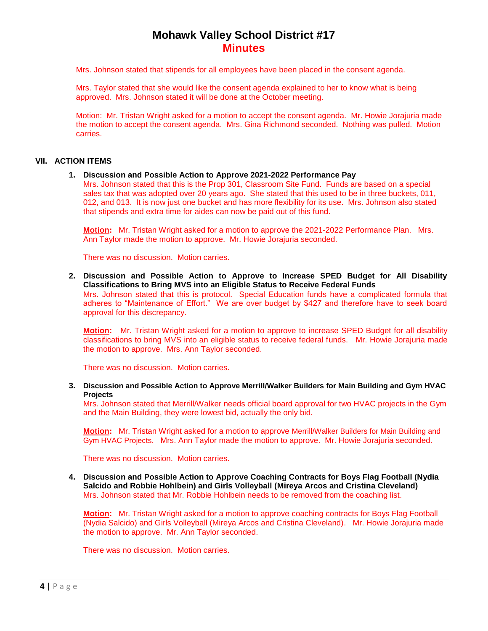Mrs. Johnson stated that stipends for all employees have been placed in the consent agenda.

Mrs. Taylor stated that she would like the consent agenda explained to her to know what is being approved. Mrs. Johnson stated it will be done at the October meeting.

Motion: Mr. Tristan Wright asked for a motion to accept the consent agenda. Mr. Howie Jorajuria made the motion to accept the consent agenda. Mrs. Gina Richmond seconded. Nothing was pulled. Motion carries.

#### **VII. ACTION ITEMS**

#### **1. Discussion and Possible Action to Approve 2021-2022 Performance Pay**

Mrs. Johnson stated that this is the Prop 301, Classroom Site Fund. Funds are based on a special sales tax that was adopted over 20 years ago. She stated that this used to be in three buckets, 011, 012, and 013. It is now just one bucket and has more flexibility for its use. Mrs. Johnson also stated that stipends and extra time for aides can now be paid out of this fund.

**Motion:** Mr. Tristan Wright asked for a motion to approve the 2021-2022 Performance Plan. Mrs. Ann Taylor made the motion to approve. Mr. Howie Jorajuria seconded.

There was no discussion. Motion carries.

**2. Discussion and Possible Action to Approve to Increase SPED Budget for All Disability Classifications to Bring MVS into an Eligible Status to Receive Federal Funds** Mrs. Johnson stated that this is protocol. Special Education funds have a complicated formula that adheres to "Maintenance of Effort." We are over budget by \$427 and therefore have to seek board approval for this discrepancy.

**Motion:** Mr. Tristan Wright asked for a motion to approve to increase SPED Budget for all disability classifications to bring MVS into an eligible status to receive federal funds. Mr. Howie Jorajuria made the motion to approve. Mrs. Ann Taylor seconded.

There was no discussion. Motion carries.

**3. Discussion and Possible Action to Approve Merrill/Walker Builders for Main Building and Gym HVAC Projects**

Mrs. Johnson stated that Merrill/Walker needs official board approval for two HVAC projects in the Gym and the Main Building, they were lowest bid, actually the only bid.

**Motion:** Mr. Tristan Wright asked for a motion to approve Merrill/Walker Builders for Main Building and Gym HVAC Projects. Mrs. Ann Taylor made the motion to approve. Mr. Howie Jorajuria seconded.

There was no discussion. Motion carries.

**4. Discussion and Possible Action to Approve Coaching Contracts for Boys Flag Football (Nydia Salcido and Robbie Hohlbein) and Girls Volleyball (Mireya Arcos and Cristina Cleveland)** Mrs. Johnson stated that Mr. Robbie Hohlbein needs to be removed from the coaching list.

**Motion:** Mr. Tristan Wright asked for a motion to approve coaching contracts for Boys Flag Football (Nydia Salcido) and Girls Volleyball (Mireya Arcos and Cristina Cleveland). Mr. Howie Jorajuria made the motion to approve. Mr. Ann Taylor seconded.

There was no discussion. Motion carries.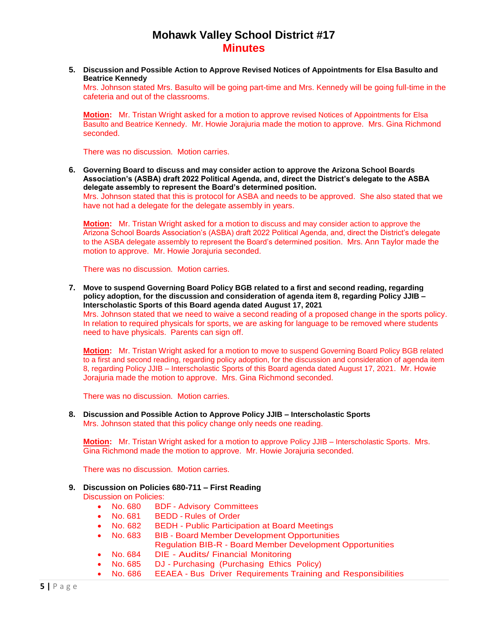**5. Discussion and Possible Action to Approve Revised Notices of Appointments for Elsa Basulto and Beatrice Kennedy**

Mrs. Johnson stated Mrs. Basulto will be going part-time and Mrs. Kennedy will be going full-time in the cafeteria and out of the classrooms.

**Motion:** Mr. Tristan Wright asked for a motion to approve revised Notices of Appointments for Elsa Basulto and Beatrice Kennedy. Mr. Howie Jorajuria made the motion to approve. Mrs. Gina Richmond seconded.

There was no discussion. Motion carries.

**6. Governing Board to discuss and may consider action to approve the Arizona School Boards Association's (ASBA) draft 2022 Political Agenda, and, direct the District's delegate to the ASBA delegate assembly to represent the Board's determined position.**

Mrs. Johnson stated that this is protocol for ASBA and needs to be approved. She also stated that we have not had a delegate for the delegate assembly in years.

**Motion:** Mr. Tristan Wright asked for a motion to discuss and may consider action to approve the Arizona School Boards Association's (ASBA) draft 2022 Political Agenda, and, direct the District's delegate to the ASBA delegate assembly to represent the Board's determined position. Mrs. Ann Taylor made the motion to approve. Mr. Howie Jorajuria seconded.

There was no discussion. Motion carries.

**7. Move to suspend Governing Board Policy BGB related to a first and second reading, regarding policy adoption, for the discussion and consideration of agenda item 8, regarding Policy JJIB – Interscholastic Sports of this Board agenda dated August 17, 2021** Mrs. Johnson stated that we need to waive a second reading of a proposed change in the sports policy. In relation to required physicals for sports, we are asking for language to be removed where students need to have physicals. Parents can sign off.

**Motion:** Mr. Tristan Wright asked for a motion to move to suspend Governing Board Policy BGB related to a first and second reading, regarding policy adoption, for the discussion and consideration of agenda item 8, regarding Policy JJIB – Interscholastic Sports of this Board agenda dated August 17, 2021. Mr. Howie Jorajuria made the motion to approve. Mrs. Gina Richmond seconded.

There was no discussion. Motion carries.

#### **8. Discussion and Possible Action to Approve Policy JJIB – Interscholastic Sports** Mrs. Johnson stated that this policy change only needs one reading.

**Motion:** Mr. Tristan Wright asked for a motion to approve Policy JJIB – Interscholastic Sports. Mrs. Gina Richmond made the motion to approve. Mr. Howie Jorajuria seconded.

There was no discussion. Motion carries.

## **9. Discussion on Policies 680-711 – First Reading**

Discussion on Policies:

- No. 680 BDF Advisory Committees
- No. 681 BEDD Rules of Order
- No. 682 BEDH Public Participation at Board Meetings
- No. 683 BIB Board Member Development Opportunities Regulation BIB-R - Board Member Development Opportunities
- No. 684 DIE Audits/ Financial Monitoring
	- No. 685 DJ Purchasing (Purchasing Ethics Policy)
- No. 686 EEAEA Bus Driver Requirements Training and Responsibilities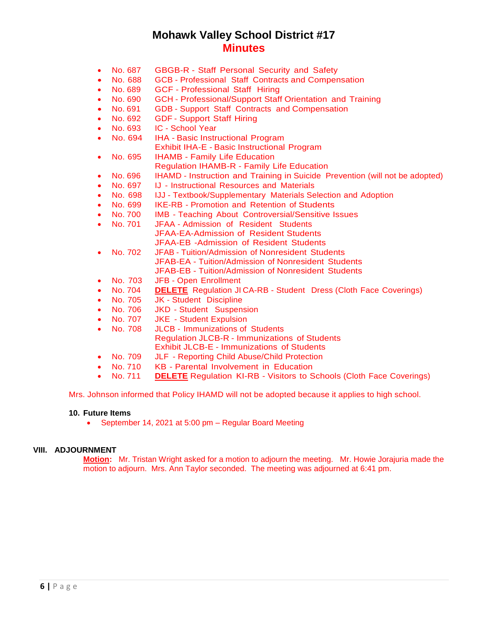- No. 687 GBGB-R Staff Personal Security and Safety
- No. 688 GCB Professional Staff Contracts and Compensation
- No. 689 GCF Professional Staff Hiring
- No. 690 GCH Professional/Support Staff Orientation and Training
- No. 691 GDB Support Staff Contracts and Compensation
- No. 692 GDF Support Staff Hiring
- No. 693 IC School Year
- No. 694 IHA Basic Instructional Program
	- Exhibit IHA-E Basic Instructional Program
- No. 695 IHAMB Family Life Education
	- Regulation IHAMB-R Family Life Education
- No. 696 IHAMD Instruction and Training in Suicide Prevention (will not be adopted)
- No. 697 IJ Instructional Resources and Materials
- No. 698 IJJ Textbook/Supplementary Materials Selection and Adoption
- No. 699 IKE-RB Promotion and Retention of Students
- No. 700 IMB Teaching About Controversial/Sensitive Issues
- No. 701 JFAA Admission of Resident Students JFAA-EA-Admission of Resident Students JFAA-EB -Admission of Resident Students
- No. 702 JFAB Tuition/Admission of Nonresident Students JFAB-EA - Tuition/Admission of Nonresident Students JFAB-EB - Tuition/Admission of Nonresident Students
- No. 703 JFB Open Enrollment
- No. 704 **DELETE**Regulation JI CA-RB Student Dress (Cloth Face Coverings)
- No. 705 JK Student Discipline
- No. 706 JKD Student Suspension
- No. 707 JKE Student Expulsion
- No. 708 JLCB Immunizations of Students Regulation JLCB-R - Immunizations of Students Exhibit JLCB-E - Immunizations of Students
- No. 709 JLF Reporting Child Abuse/Child Protection
- No. 710 KB Parental Involvement in Education
- No. 711 **DELETE** Regulation KI-RB Visitors to Schools (Cloth Face Coverings)

Mrs. Johnson informed that Policy IHAMD will not be adopted because it applies to high school.

#### **10. Future Items**

September 14, 2021 at 5:00 pm – Regular Board Meeting

#### **VIII. ADJOURNMENT**

**Motion:** Mr. Tristan Wright asked for a motion to adjourn the meeting. Mr. Howie Jorajuria made the motion to adjourn. Mrs. Ann Taylor seconded. The meeting was adjourned at 6:41 pm.